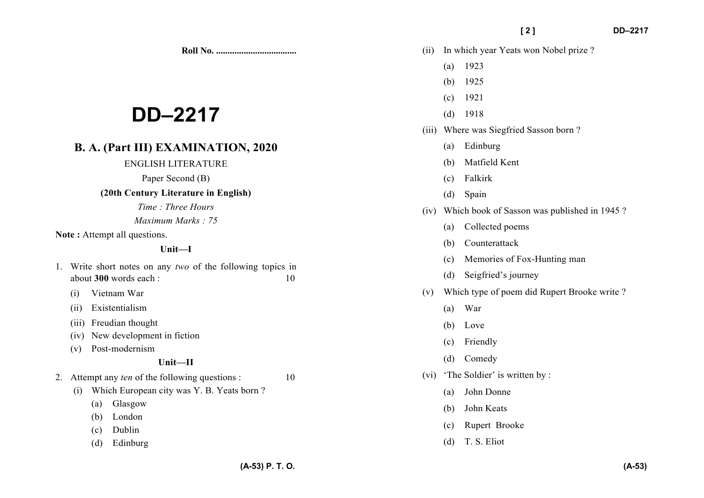**Roll No. ...................................** 

# **DD–2217**

# **B. A. (Part III) EXAMINATION, 2020**

## ENGLISH LITERATURE

Paper Second (B)

## **(20th Century Literature in English)**

*Time : Three Hours* 

*Maximum Marks : 75*

Note: Attempt all questions.

## **Unit—I**

- 1. Write short notes on any *two* of the following topics in about **300** words each : 10
	- (i) Vietnam War
	- (ii) Existentialism
	- (iii) Freudian thought
	- (iv) New development in fiction
	- (v) Post-modernism

# **Unit—II**

- 2. Attempt any *ten* of the following questions : 10
	- (i) Which European city was Y. B. Yeats born ?
		- (a) Glasgow
		- (b) London
		- (c) Dublin
		- (d) Edinburg
- (ii) In which year Yeats won Nobel prize ?
	- (a) 1923
	- (b) 1925
	- (c) 1921
	- (d) 1918
- (iii) Where was Siegfried Sasson born ?
	- (a) Edinburg
	- (b) Matfield Kent
	- (c) Falkirk
	- (d) Spain
- (iv) Which book of Sasson was published in 1945 ?
	- (a) Collected poems
	- (b) Counterattack
	- (c) Memories of Fox-Hunting man
	- (d) Seigfried's journey
- (v) Which type of poem did Rupert Brooke write ?
	- (a) War
	- (b) Love
	- (c) Friendly
	- (d) Comedy
- (vi) 'The Soldier' is written by :
	- (a) John Donne
	- (b) John Keats
	- (c) Rupert Brooke
	- (d) T. S. Eliot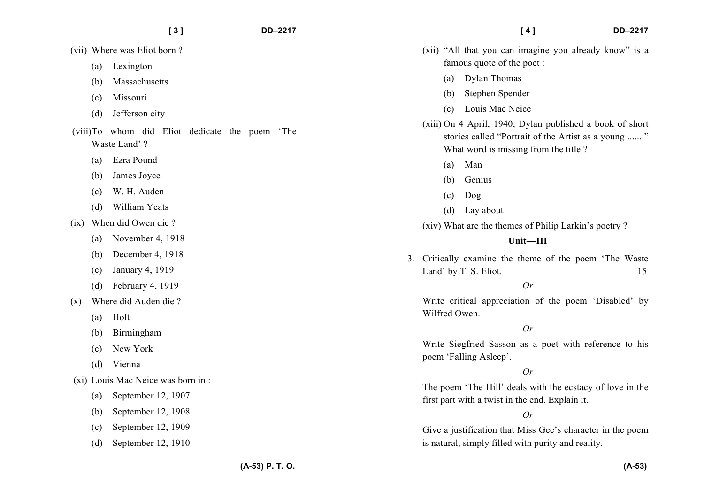- (a) Lexington
- (b) Massachusetts
- (c) Missouri
- (d) Jefferson city
- (viii)To whom did Eliot dedicate the poem 'The Waste Land' ?
	- (a) Ezra Pound
	- (b) James Joyce
	- (c) W. H. Auden
	- (d) William Yeats
- (ix) When did Owen die ?
	- (a) November 4, 1918
	- (b) December 4, 1918
	- (c) January 4, 1919
	- (d) February 4, 1919
- (x) Where did Auden die ?
	- (a) Holt
	- (b) Birmingham
	- (c) New York
	- (d) Vienna
- (xi) Louis Mac Neice was born in :
	- (a) September 12, 1907
	- (b) September 12, 1908
	- (c) September 12, 1909
	- (d) September 12, 1910
- (xii) "All that you can imagine you already know" is a famous quote of the poet :
	- (a) Dylan Thomas
	- (b) Stephen Spender
	- (c) Louis Mac Neice
- (xiii) On 4 April, 1940, Dylan published a book of short stories called "Portrait of the Artist as a young ......." What word is missing from the title ?
	- (a) Man
	- (b) Genius
	- (c) Dog
	- (d) Lay about
- (xiv) What are the themes of Philip Larkin's poetry ?

# **Unit—III**

3. Critically examine the theme of the poem 'The Waste Land' by T. S. Eliot. 15

# $Q_r$

Write critical appreciation of the poem 'Disabled' by Wilfred Owen.

# *Or*

Write Siegfried Sasson as a poet with reference to his poem 'Falling Asleep'.

# *Or*

The poem 'The Hill' deals with the ecstacy of love in the first part with a twist in the end. Explain it.

# *Or*

Give a justification that Miss Gee's character in the poem is natural, simply filled with purity and reality.